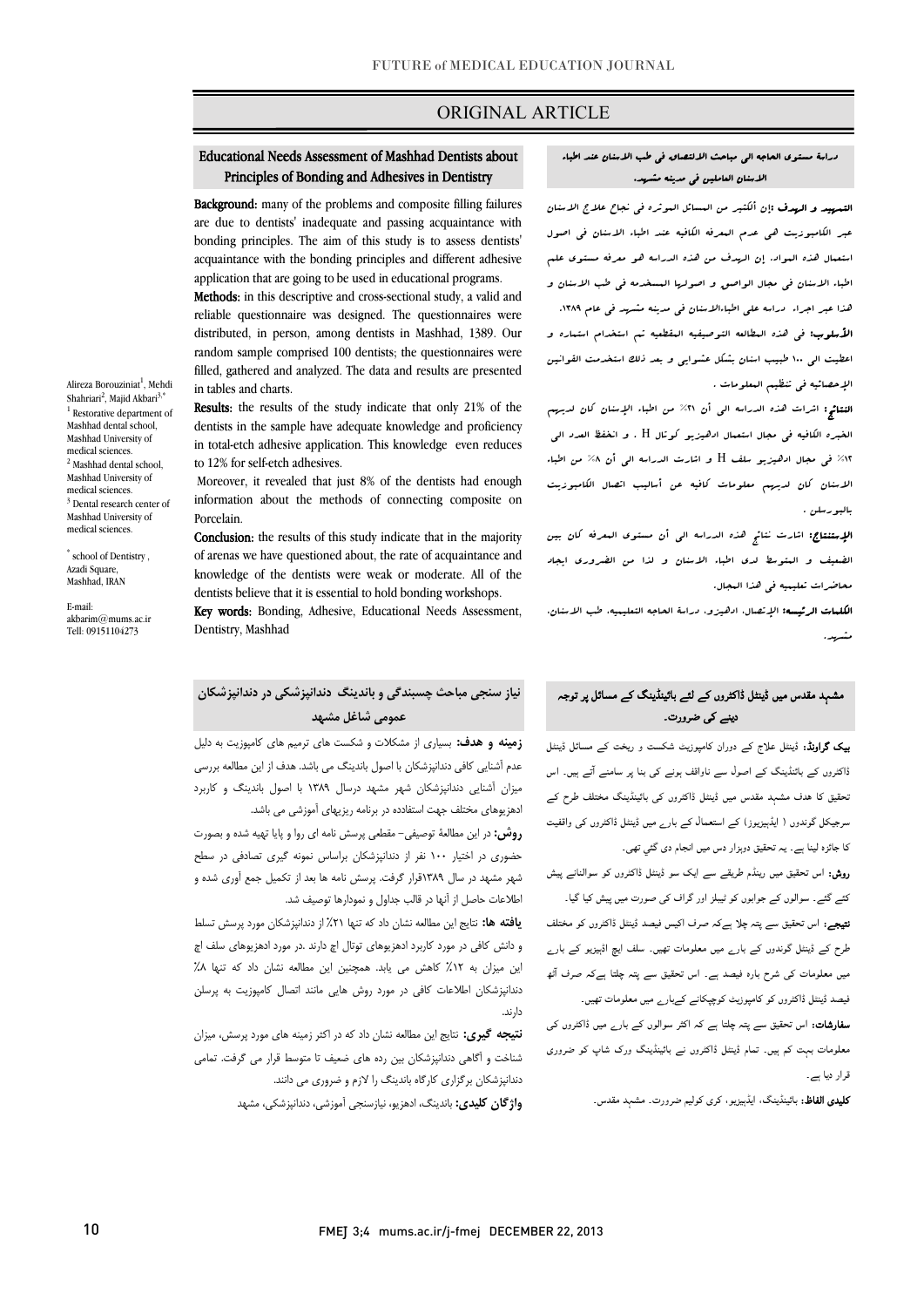## ORIGINAL ARTICLE

#### Ï Principles of Bonding and Adhesives in Dentistry Educational Needs Assessment of Mashhad Dentists about

Ī

Background: many of the problems and composite filling failures bonding principles. The aim of this study is to assess dentists' acquaintance with the bonding principles and different adhesive application that are going to be used in educational programs. are due to dentists' inadequate and passing acquaintance with

 Methods: in this descriptive and cross-sectional study, a valid and reliable questionnaire was designed. The questionnaires were random sample comprised 100 dentists; the questionnaires were filled, gathered and analyzed. The data and results are presented distributed, in person, among dentists in Mashhad, 1389. Our in tables and charts.

 Results: the results of the study indicate that only 21% of the dentists in the sample have adequate knowledge and proficiency in total-etch adhesive application. This knowledge even reduces to 12% for self-etch adhesives.

 Moreover, it revealed that just 8% of the dentists had enough information about the methods of connecting composite on Porcelain.

 of arenas we have questioned about, the rate of acquaintance and knowledge of the dentists were weak or moderate. All of the dentists believe that it is essential to hold bonding workshops. Conclusion: the results of this study indicate that in the majority

 Key words: Bonding, Adhesive, Educational Needs Assessment, Dentistry, Mashhad

## **نیاز سنجی مباحث چسبندگی و باندینگ دندانپزشکی در دندانپزشکان عمومی شاغل مشهد**

 **زمینه و هدف:** بسیاري از مشکلات و شکست هاي ترمیم هاي کامپوزیت به دلیل عدم آشنایی کافی دندانپزشکان با اصول باندینگ می باشد. هدف از این مطالعه بررسی میزان آشنایی دندانپزشکان شهر مشهد درسال 1389 با اصول باندینگ و کاربرد ادهزیوهاي مختلف جهت استفادده در برنامه ریزیهاي آموزشی می باشد.

 **روش:** در این مطالعۀ توصیفی- مقطعی پرسش نامه اي روا و پایا تهیه شده و بصورت حضوري در اختیار 100 نفر از دندانپزشکان براساس نمونه گیري تصادفی در سطح شهر مشهد در سال 1389قرار گرفت. پرسش نامه ها بعد از تکمیل جمع آوري شده و اطلاعات حاصل از آنها در قالب جداول و نمودارها توصیف شد.

 **یافته ها:** نتایج این مطالعه نشان داد که تنها %21 از دندانپزشکان مورد پرسش تسلط و دانش کافی در مورد کاربرد ادهزیوهاي توتال اچ دارند .در مورد ادهزیوهاي سلف اچ این میزان به ۱۲٪ کاهش می یابد. همچنین این مطالعه نشان داد که تنها ۸٪ دندانپزشکان اطلاعات کافی در مورد روش هایی مانند اتصال کامپوزیت به پرسلن دارند.

 **نتیجه گیري:** نتایج این مطالعه نشان داد که در اکثر زمینه هاي مورد پرسش، میزان شناخت و آگاهی دندانپزشکان بین رده هاي ضعیف تا متوسط قرار می گرفت. تمامی دندانپزشکان برگزاري کارگاه باندینگ را لازم و ضروري می دانند. **واژگان کلیدي:** باندینگ، ادهزیو، نیازسنجی آموزشی، دندانپزشکی، مشهد

#### دراسۀ مستوي الحاجه الی مباحث الالتصاق فی طب الاسنان عند اطباء الاسنان العاملین فی مدینه مشهد.

I

 التمهید و الهدف :إن ألکثیر من المسائل الموثره فی نجاح علاج الاسنان عبر الکامبوزیت هی عدم المعرفه الکافیه عند اطباء الاسنان فی اصول استعمال هذه المواد. إن الهدف من هذه الدراسه هو معرفه مستوي علم اطباء الاسنان فی مجال الواصق و اصولها المسخدمه فی طب الاسنان و ه<br>اعتر اعبر اجراء - دراسه علی اطباءالاسنان فی مدینه مشهد فی عام ۱۳۸۹. ا**لأسلوب:** فی هذه البطالعه التوصیفیه البقطعیه تم استخدام استماره و<br>. اعطیت الی 100 طبیب اسنان بشکل عشوایی و بعد ذلک استخدمت القوانین الإحصائیه فی تنظیم المعلومات .

 النتائج: اشرات هذه الدراسه الی أن %21 من اطباء الإسنان کان لدیهم الخبره الکافیه فی مجال استعمال ادهیزیو کوتال H . و انخفظ العدد الی %12 فی مجال ادهیزیو سلف H و اشارت الدراسه الی أن %8 من اطباء الاسنان کان لدیهم معلومات کافیه عن أسالیب اتصال الکامبوزیت بالبورسلن .

ا**لإستنتاج:** اشارت نتائج هذه الدراسه ال<sub>ی</sub> أن مستوی المعرفه کان بین<br>. الضعیف و المتوسط لدي اطباء الاسنان و لذا من الضروري ایجاد محاضرات تعلیمیه فی هذا المجال.

 الکلمات الرئیسه: الإتصال، ادهیزو، دراسۀ الحاجه التعلیمیه، طب الاسنان، مشهد.

## مشہد مقدس میں ڈینٹل ڈاکٹروں کے لئے بائینڈینگ کے مسائل پر توجہ دینے کی ضرورت۔

**بیک گراونڈ:** ڈینٹل علاج کے دوران کامپوزیٹ شکست و ریخت کے مسائل ڈینٹل ڈاکٹروں کے بائنڈینگ کے اصول سے ناواقف ہونے کی بنا پر سامنے آتے ہیں۔ اس ۔<br>نحقیق کا ہدف مشہد مقدس میں ڈینٹل ڈاکٹروں کی بائینڈینگ مختلف طرح کے سرجیکل گوندوں ( ایڈېیزیوز) کے استعمال کے بارے میں ڈینٹل ڈاکٹروں کی واقفیت کا جائزہ لینا ہے۔ یہ تحقیق دوہزار دس میں انجام دی گئي تھی۔

ر**وش:** اس تحقیق میں رینڈم طریقے سے ایک سو ڈینٹل ڈاکٹروں کو سوالنانے پیش<br>۔ کئے گئے۔ سوالوں کے جوابوں کو ٹیبلز اور گراف کی صورت میں پیش کیا گیا۔ ن**تیجے:** اس تحقیق سے پتہ چلا ہےکہ صرف اکیس فیصد ڈینٹل ڈاکٹروں کو مختلف طرح کے ڈینٹل گوندوں کے بارے میں معلومات تھیں۔ سلف ایچ اڈہیزیو کے بارے میں معلومات کی شرح بارہ فیصد ہے۔ اس تحقیق سے پتہ چلتا ہےکہ صرف آٹھ فیصد ڈینٹل ڈاکٹروں کو کامپوزیٹ کوچپکانے کےبارے میں معلومات تھیں۔

**سفارشات:** اس تحقیق سے پتہ چلتا ہے کہ اکثر سوالوں کے بار<sub>ے</sub> میں ڈاکٹروں کی .<br>معلومات بہت کم ہیں۔ تمام ڈینٹل ڈاکٹروں نے بائینڈینگ ورک شاپ کو ضروری Í قرار دیا ہے۔

**کلیدی الفاظ:** بائینڈینگ، ایڈہیزیو، کری کولیم ضرورت۔ مشہد مقدس۔

FMEJ 3;4 mums.ac.ir/j-fmej DECEMBER 22, 2013

Alireza Borouziniat<sup>1</sup>, Mehdi Shahriari<sup>2</sup>, Majid Akbari<sup>3,\*</sup> <sup>1</sup> Restorative department of Mashhad dental school, Mashhad University of medical sciences. <sup>2</sup> Mashhad dental school Mashhad University of medical sciences. <sup>3</sup> Dental research center of Mashhad University of medical sciences.

\* school of Dentistry , Azadi Square, Mashhad, IRAN

E-mail: akbarim@mums.ac.ir Tell: 09151104273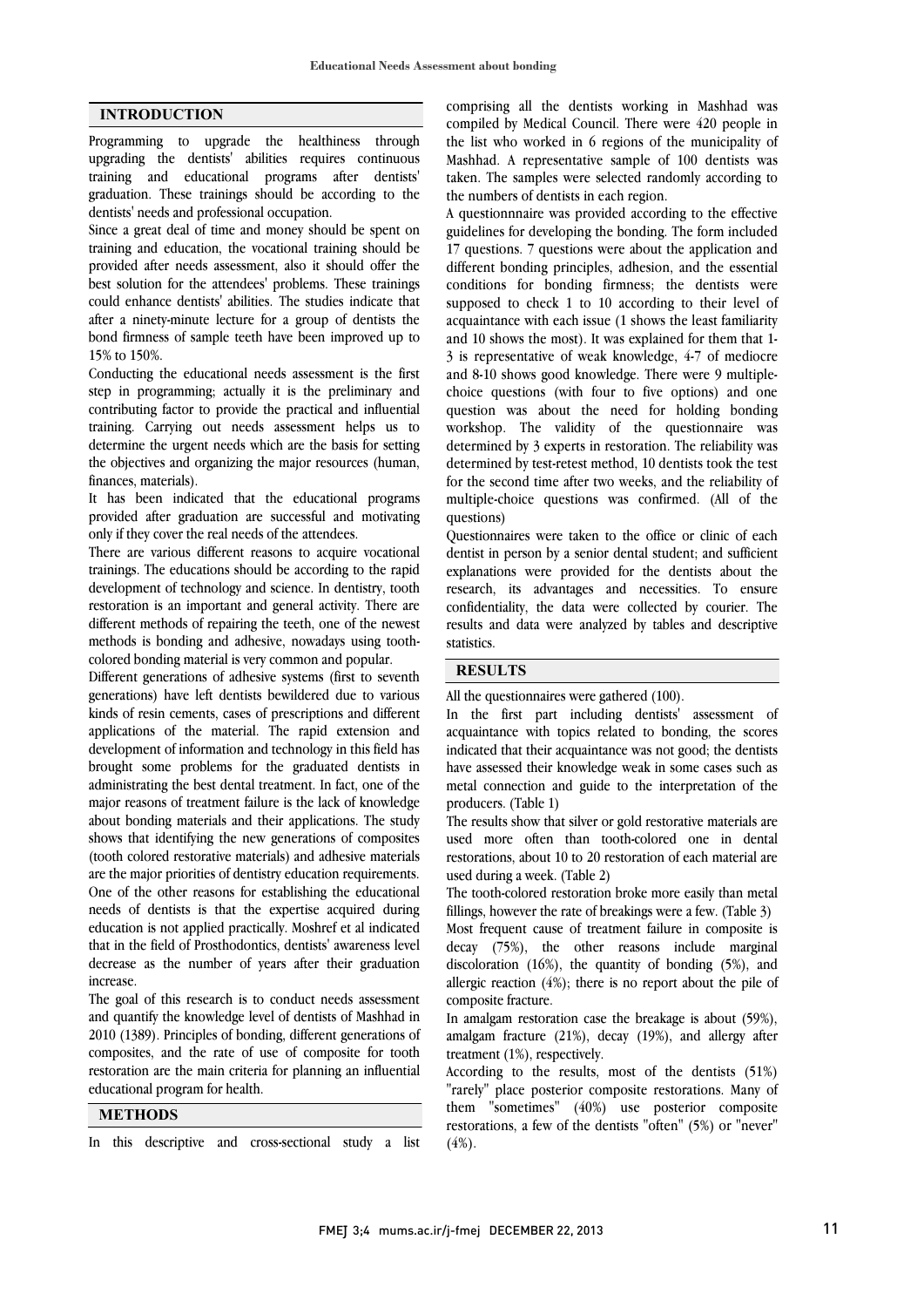#### **INTRODUCTION**

Programming to upgrade the healthiness through upgrading the dentists' abilities requires continuous training and educational programs after dentists' graduation. These trainings should be according to the dentists' needs and professional occupation.

Since a great deal of time and money should be spent on training and education, the vocational training should be provided after needs assessment, also it should offer the best solution for the attendees' problems. These trainings could enhance dentists' abilities. The studies indicate that after a ninety-minute lecture for a group of dentists the bond firmness of sample teeth have been improved up to 15% to 150%.

Conducting the educational needs assessment is the first step in programming; actually it is the preliminary and contributing factor to provide the practical and influential training. Carrying out needs assessment helps us to determine the urgent needs which are the basis for setting the objectives and organizing the major resources (human, finances, materials).

It has been indicated that the educational programs provided after graduation are successful and motivating only if they cover the real needs of the attendees.

There are various different reasons to acquire vocational trainings. The educations should be according to the rapid development of technology and science. In dentistry, tooth restoration is an important and general activity. There are different methods of repairing the teeth, one of the newest methods is bonding and adhesive, nowadays using toothcolored bonding material is very common and popular.

Different generations of adhesive systems (first to seventh generations) have left dentists bewildered due to various kinds of resin cements, cases of prescriptions and different applications of the material. The rapid extension and development of information and technology in this field has brought some problems for the graduated dentists in administrating the best dental treatment. In fact, one of the major reasons of treatment failure is the lack of knowledge about bonding materials and their applications. The study shows that identifying the new generations of composites (tooth colored restorative materials) and adhesive materials are the major priorities of dentistry education requirements. One of the other reasons for establishing the educational needs of dentists is that the expertise acquired during education is not applied practically. Moshref et al indicated that in the field of Prosthodontics, dentists' awareness level decrease as the number of years after their graduation increase.

The goal of this research is to conduct needs assessment and quantify the knowledge level of dentists of Mashhad in 2010 (1389). Principles of bonding, different generations of composites, and the rate of use of composite for tooth restoration are the main criteria for planning an influential educational program for health.

**METHODS**

In this descriptive and cross-sectional study a list

 comprising all the dentists working in Mashhad was compiled by Medical Council. There were 420 people in the list who worked in 6 regions of the municipality of Mashhad. A representative sample of 100 dentists was the numbers of dentists in each region. taken. The samples were selected randomly according to

 A questionnnaire was provided according to the effective guidelines for developing the bonding. The form included 17 questions. 7 questions were about the application and conditions for bonding firmness; the dentists were supposed to check 1 to 10 according to their level of acquaintance with each issue (1 shows the least familiarity and 10 shows the most). It was explained for them that 1 and 8-10 shows good knowledge. There were 9 multiple- choice questions (with four to five options) and one question was about the need for holding bonding workshop. The validity of the questionnaire was determined by test-retest method, 10 dentists took the test for the second time after two weeks, and the reliability of multiple-choice questions was confirmed. (All of the questions) different bonding principles, adhesion, and the essential 3 is representative of weak knowledge, 4-7 of mediocre determined by 3 experts in restoration. The reliability was

 dentist in person by a senior dental student; and sufficient explanations were provided for the dentists about the research, its advantages and necessities. To ensure confidentiality, the data were collected by courier. The statistics. Questionnaires were taken to the office or clinic of each results and data were analyzed by tables and descriptive

# **RESULTS**

 $\overline{a}$ 

All the questionnaires were gathered (100).

acquaintance with topics related to bonding, the scores indicated that their acquaintance was not good; the dentists have assessed their knowledge weak in some cases such as metal connection and guide to the interpretation of the In the first part including dentists' assessment of producers. (Table 1)

The results show that silver or gold restorative materials are used more often than tooth-colored one in dental restorations, about 10 to 20 restoration of each material are used during a week. (Table 2)

 fillings, however the rate of breakings were a few. (Table 3) Most frequent cause of treatment failure in composite is decay (75%), the other reasons include marginal The tooth-colored restoration broke more easily than metal

 discoloration (16%), the quantity of bonding (5%), and composite fracture. allergic reaction (4%); there is no report about the pile of

 In amalgam restoration case the breakage is about (59%), amalgam fracture (21%), decay (19%), and allergy after treatment (1%), respectively.

 "rarely" place posterior composite restorations. Many of them "sometimes" (40%) use posterior composite restorations, a few of the dentists "often" (5%) or "never" (4%). According to the results, most of the dentists (51%)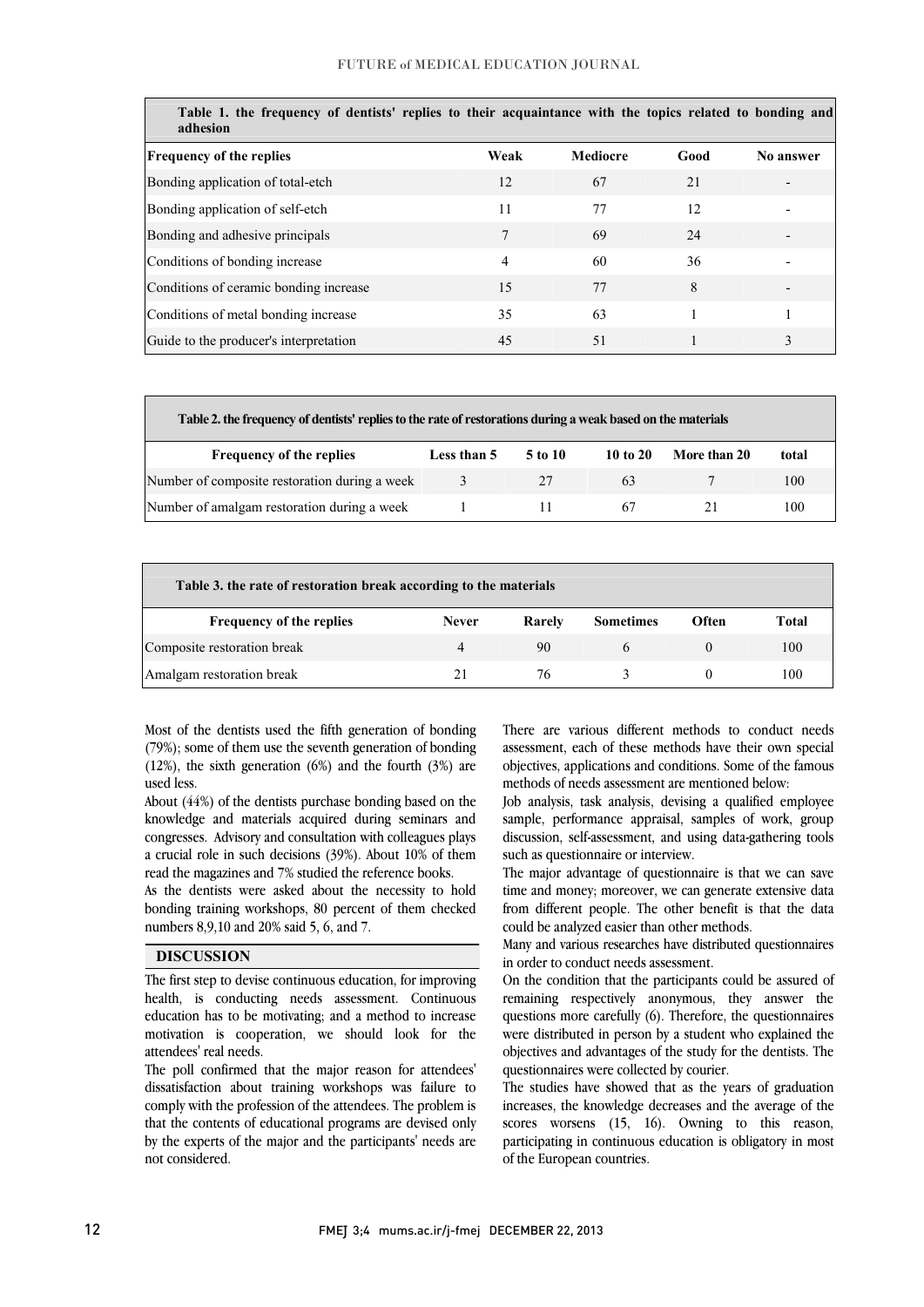| Table 1. the frequency of dentists' replies to their acquaintance with the topics related to bonding and<br>adhesion |      |          |      |           |  |  |  |  |
|----------------------------------------------------------------------------------------------------------------------|------|----------|------|-----------|--|--|--|--|
| <b>Frequency of the replies</b>                                                                                      | Weak | Mediocre | Good | No answer |  |  |  |  |
| Bonding application of total-etch                                                                                    | 12   | 67       | 21   |           |  |  |  |  |
| Bonding application of self-etch                                                                                     | 11   | 77       | 12   |           |  |  |  |  |
| Bonding and adhesive principals                                                                                      |      | 69       | 24   |           |  |  |  |  |
| Conditions of bonding increase                                                                                       | 4    | 60       | 36   |           |  |  |  |  |
| Conditions of ceramic bonding increase                                                                               | 15   | 77       | 8    |           |  |  |  |  |
| Conditions of metal bonding increase                                                                                 | 35   | 63       |      |           |  |  |  |  |
| Guide to the producer's interpretation                                                                               | 45   | 51       |      | 3         |  |  |  |  |

| Table 2, the frequency of dentists' replies to the rate of restorations during a weak based on the materials |             |         |            |              |       |  |  |
|--------------------------------------------------------------------------------------------------------------|-------------|---------|------------|--------------|-------|--|--|
| <b>Frequency of the replies</b>                                                                              | Less than 5 | 5 to 10 | 10 to $20$ | More than 20 | total |  |  |
| Number of composite restoration during a week                                                                | $\sim$      |         | 63         |              | 100   |  |  |
| Number of amalgam restoration during a week                                                                  |             |         | h.         |              | 100   |  |  |

l

I

ֺׅׅ֞֝֬֝֬֝

| Table 3. the rate of restoration break according to the materials |              |        |                  |       |       |  |  |  |
|-------------------------------------------------------------------|--------------|--------|------------------|-------|-------|--|--|--|
| <b>Frequency of the replies</b>                                   | <b>Never</b> | Rarely | <b>Sometimes</b> | Often | Total |  |  |  |
| Composite restoration break                                       | 4            | 90     |                  |       | 100   |  |  |  |
| Amalgam restoration break                                         |              | 76     |                  |       | 100   |  |  |  |

 Most of the dentists used the fifth generation of bonding (79%); some of them use the seventh generation of bonding (12%), the sixth generation (6%) and the fourth (3%) are used less.

 About (44%) of the dentists purchase bonding based on the knowledge and materials acquired during seminars and congresses. Advisory and consultation with colleagues plays a crucial role in such decisions (39%). About 10% of them read the magazines and 7% studied the reference books.

As the dentists were asked about the necessity to hold bonding training workshops, 80 percent of them checked numbers 8,9,10 and 20% said 5, 6, and 7.

### **DISCUSSION**

 The first step to devise continuous education, for improving health, is conducting needs assessment. Continuous education has to be motivating; and a method to increase motivation is cooperation, we should look for the attendees' real needs.

 The poll confirmed that the major reason for attendees' dissatisfaction about training workshops was failure to comply with the profession of the attendees. The problem is that the contents of educational programs are devised only by the experts of the major and the participants' needs are not considered.

 There are various different methods to conduct needs assessment, each of these methods have their own special objectives, applications and conditions. Some of the famous methods of needs assessment are mentioned below:

֦

I

 Job analysis, task analysis, devising a qualified employee sample, performance appraisal, samples of work, group discussion, self-assessment, and using data-gathering tools such as questionnaire or interview.

time and money; moreover, we can generate extensive data from different people. The other benefit is that the data The major advantage of questionnaire is that we can save could be analyzed easier than other methods.

 Many and various researches have distributed questionnaires in order to conduct needs assessment.

 On the condition that the participants could be assured of remaining respectively anonymous, they answer the questions more carefully (6). Therefore, the questionnaires were distributed in person by a student who explained the objectives and advantages of the study for the dentists. The questionnaires were collected by courier.

 The studies have showed that as the years of graduation increases, the knowledge decreases and the average of the scores worsens (15, 16). Owning to this reason, participating in continuous education is obligatory in most of the European countries.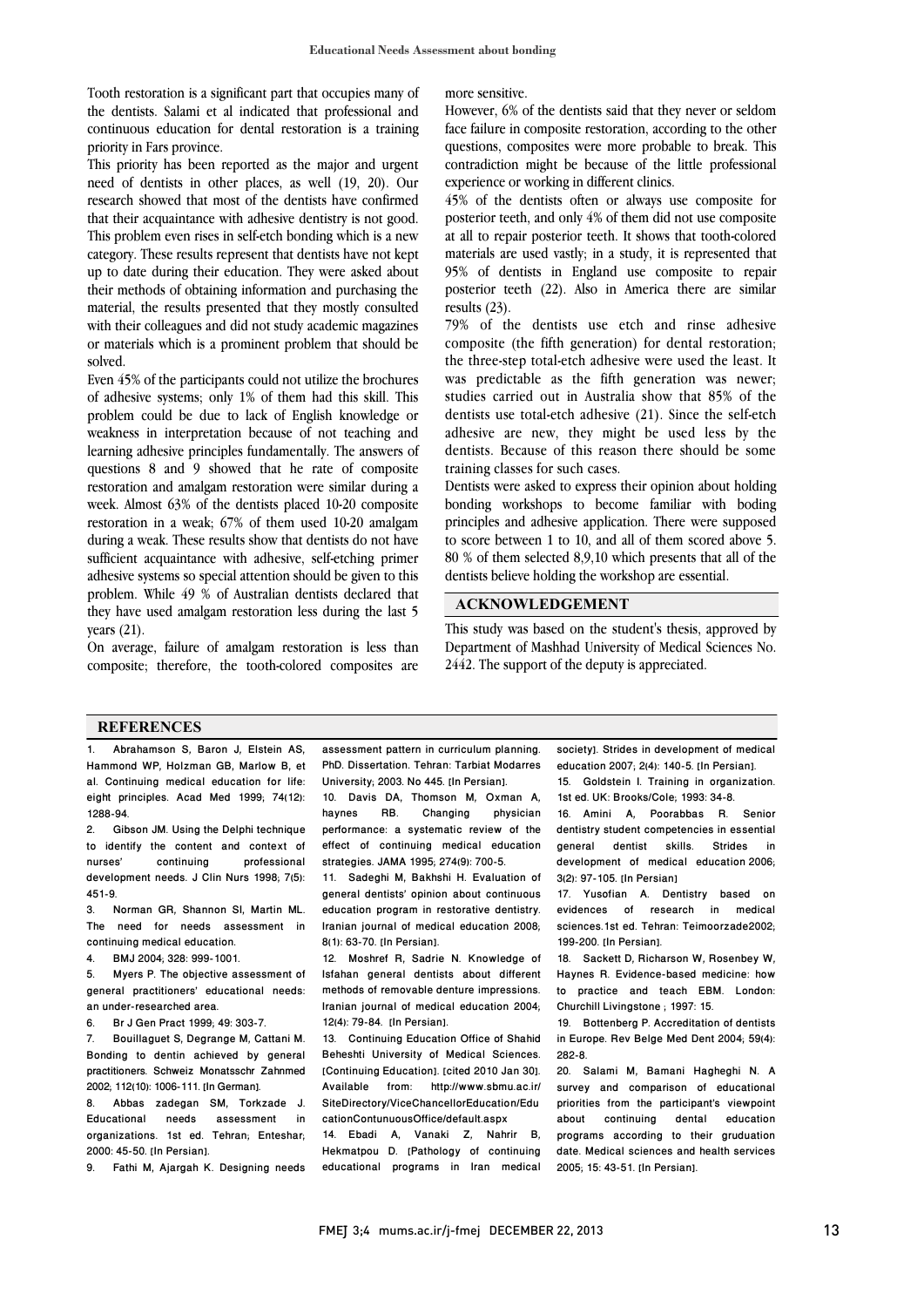Tooth restoration is a significant part that occupies many of the dentists. Salami et al indicated that professional and continuous education for dental restoration is a training priority in Fars province.

This priority has been reported as the major and urgent need of dentists in other places, as well (19, 20). Our research showed that most of the dentists have confirmed that their acquaintance with adhesive dentistry is not good. This problem even rises in self-etch bonding which is a new category. These results represent that dentists have not kept up to date during their education. They were asked about their methods of obtaining information and purchasing the material, the results presented that they mostly consulted with their colleagues and did not study academic magazines or materials which is a prominent problem that should be solved.

Even 45% of the participants could not utilize the brochures of adhesive systems; only 1% of them had this skill. This problem could be due to lack of English knowledge or weakness in interpretation because of not teaching and learning adhesive principles fundamentally. The answers of questions 8 and 9 showed that he rate of composite restoration and amalgam restoration were similar during a week. Almost 63% of the dentists placed 10-20 composite restoration in a weak; 67% of them used 10-20 amalgam during a weak. These results show that dentists do not have sufficient acquaintance with adhesive, self-etching primer adhesive systems so special attention should be given to this problem. While 49 % of Australian dentists declared that they have used amalgam restoration less during the last 5 years (21).

On average, failure of amalgam restoration is less than composite; therefore, the tooth-colored composites are more sensitive.

face failure in composite restoration, according to the other questions, composites were more probable to break. This contradiction might be because of the little professional experience or working in different clinics. However, 6% of the dentists said that they never or seldom

 posterior teeth, and only 4% of them did not use composite at all to repair posterior teeth. It shows that tooth-colored materials are used vastly; in a study, it is represented that 95% of dentists in England use composite to repair results (23). 45% of the dentists often or always use composite for posterior teeth (22). Also in America there are similar

 79% of the dentists use etch and rinse adhesive composite (the fifth generation) for dental restoration; the three-step total-etch adhesive were used the least. It studies carried out in Australia show that 85% of the dentists use total-etch adhesive (21). Since the self-etch adhesive are new, they might be used less by the dentists. Because of this reason there should be some was predictable as the fifth generation was newer; training classes for such cases.

 Dentists were asked to express their opinion about holding bonding workshops to become familiar with boding principles and adhesive application. There were supposed to score between 1 to 10, and all of them scored above 5. dentists believe holding the workshop are essential. 80 % of them selected 8,9,10 which presents that all of the

#### l, **ACKNOWLEDGEMENT**

 This study was based on the student's thesis, approved by 2442. The support of the deputy is appreciated. Department of Mashhad University of Medical Sciences No.

#### **REFERENCES**

1. Abrahamson S, Baron J, Elstein AS, Hammond WP, Holzman GB, Marlow B, et al. Continuing medical education for life: eight principles. Acad Med 1999; 74(12): 1288-94.<br>2 Gib

2. Gibson JM. Using the Delphi technique to identify the content and context of nurses' continuing professional development needs. J Clin Nurs 1998; 7(5):  $451-9.$ <br>3.  $\blacksquare$ 

3. Norman GR, Shannon SI, Martin ML. The need for needs assessment in continuing medical education.

4. BMJ 2004; 328: 999-1001.

5. Myers P. The objective assessment of general practitioners' educational needs: an under-researched area.

6. Br J Gen Pract 1999; 49: 303-7.

7. Bouillaguet S, Degrange M, Cattani M. Bonding to dentin achieved by general practitioners. Schweiz Monatsschr Zahnmed 2002; 112(10): 1006-111. [In German].

8. Abbas zadegan SM, Torkzade J. Educational needs assessment in organizations. 1st ed. Tehran; Enteshar; 2000: 45-50. [In Persian].

9. Fathi M, Ajargah K. Designing needs

 assessment pattern in curriculum planning. PhD. Dissertation. Tehran: Tarbiat Modarres 10. Davis DA, Thomson M, Oxman A, University: 2003. No 445. [In Persian].

 haynes RB. Changing physician effect of continuing medical education strategies. JAMA 1995; 274(9): 700-5. performance: a systematic review of the

 11. Sadeghi M, Bakhshi H. Evaluation of education program in restorative dentistry. Iranian journal of medical education 2008; general dentists' opinion about continuous 8(1): 63-70. [In Persian].

 12. Moshref R, Sadrie N. Knowledge of Isfahan general dentists about different methods of removable denture impressions. Iranian journal of medical education 2004; 12(4): 79-84. [In Persian].

 13. Continuing Education Office of Shahid Beheshti University of Medical Sciences. Available from: http://www.sbmu.ac.ir/ SiteDirectory/ViceChancellorEducation/Edu [Continuing Education]. [cited 2010 Jan 30]. cationContunuousOffice/default.aspx

 14. Ebadi A, Vanaki Z, Nahrir B, Hekmatpou D. [Pathology of continuing educational programs in Iran medical

society]. Strides in development of medical education 2007; 2(4): 140-5. [In Persian]. 15. Goldstein I. Training in organization.

1st ed. UK: Brooks/Cole; 1993: 34-8. 16. Amini A, Poorabbas R. Senior dentistry student competencies in essential<br>general dentist skills. Strides in general dentist development of medical education 2006; 3(2): 97-105. [In Persian]

17. Yusofian A. Dentistry based on evidences of research in medical sciences.1st ed. Tehran: Teimoorzade2002; 199-200. [In Persian].

18. Sackett D, Richarson W, Rosenbey W, Haynes R. Evidence-based medicine: how to practice and teach EBM. London: Churchill Livingstone ; 1997: 15.

19. Bottenberg P. Accreditation of dentists in Europe. Rev Belge Med Dent 2004; 59(4): 282-8.

20. Salami M, Bamani Hagheghi N. A survey and comparison of educational priorities from the participant's viewpoint about continuing dental education programs according to their gruduation date. Medical sciences and health services 2005; 15: 43-51. [In Persian].